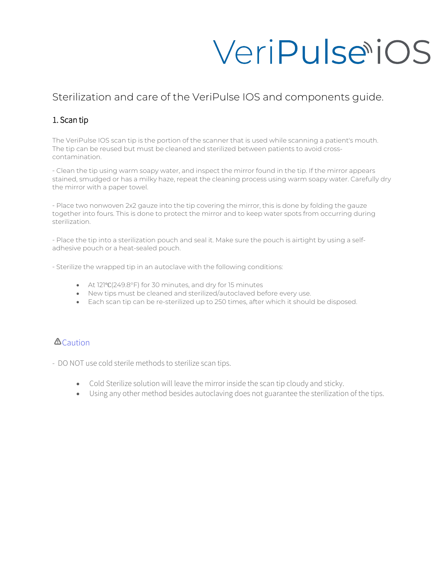# VeriPulsetiOS

### Sterilization and care of the VeriPulse IOS and components guide.

#### 1. Scan tip

The VeriPulse IOS scan tip is the portion of the scanner that is used while scanning a patient's mouth. The tip can be reused but must be cleaned and sterilized between patients to avoid crosscontamination.

- Clean the tip using warm soapy water, and inspect the mirror found in the tip. If the mirror appears stained, smudged or has a milky haze, repeat the cleaning process using warm soapy water. Carefully dry the mirror with a paper towel.

- Place two nonwoven 2x2 gauze into the tip covering the mirror, this is done by folding the gauze together into fours. This is done to protect the mirror and to keep water spots from occurring during sterilization.

- Place the tip into a sterilization pouch and seal it. Make sure the pouch is airtight by using a selfadhesive pouch or a heat-sealed pouch.

- Sterilize the wrapped tip in an autoclave with the following conditions:

- At 121℃(249.8°F) for 30 minutes, and dry for 15 minutes
- New tips must be cleaned and sterilized/autoclaved before every use.
- Each scan tip can be re-sterilized up to 250 times, after which it should be disposed.

#### $\Delta$ Caution

- DO NOT use cold sterile methods to sterilize scan tips.

- Cold Sterilize solution will leave the mirror inside the scan tip cloudy and sticky.
- Using any other method besides autoclaving does not guarantee the sterilization of the tips.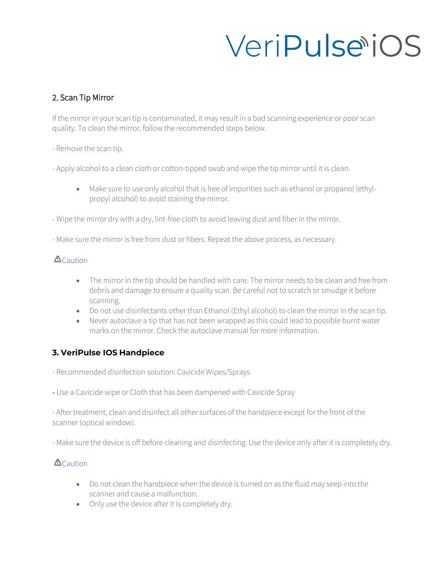## VeriPulsetiOS

#### 2. Scan Tip Mirror

If the mirror in your scan tip is contaminated, it may result in a bad scanning experience or poor scan quality. To clean the mirror, follow the recommended steps below.

- Remove the scan tip.

- Apply alcohol to a clean cloth or cotton-tipped swab and wipe the tip mirror until it is clean.

- Make sure to use only alcohol that is free of impurities such as ethanol or propanol (ethylpropyl alcohol) to avoid staining the mirror.
- Wipe the mirror dry with a dry, lint-free cloth to avoid leaving dust and fiber in the mirror.

- Make sure the mirror is free from dust or fibers. Repeat the above process, as necessary.

#### $\Delta$ Caution

- The mirror in the tip should be handled with care. The mirror needs to be clean and free from debris and damage to ensure a quality scan. Be careful not to scratch or smudge it before scanning.
- Do not use disinfectants other than Ethanol (Ethyl alcohol) to clean the mirror in the scan tip.
- Never autoclave a tip that has not been wrapped as this could lead to possible burnt water marks on the mirror. Check the autoclave manual for more information.

#### **3. VeriPulse IOS Handpiece**

- Recommended disinfection solution: Cavicide Wipes/Sprays

- Use a Cavicide wipe or Cloth that has been dampened with Cavicide Spray

- After treatment, clean and disinfect all other surfaces of the handpiece except for the front of the scanner (optical window).

- Make sure the device is off before cleaning and disinfecting. Use the device only after it is completely dry.

#### **A**Caution

- Do not clean the handpiece when the device is turned on as the fluid may seep into the scanner and cause a malfunction.
- Only use the device after it is completely dry.